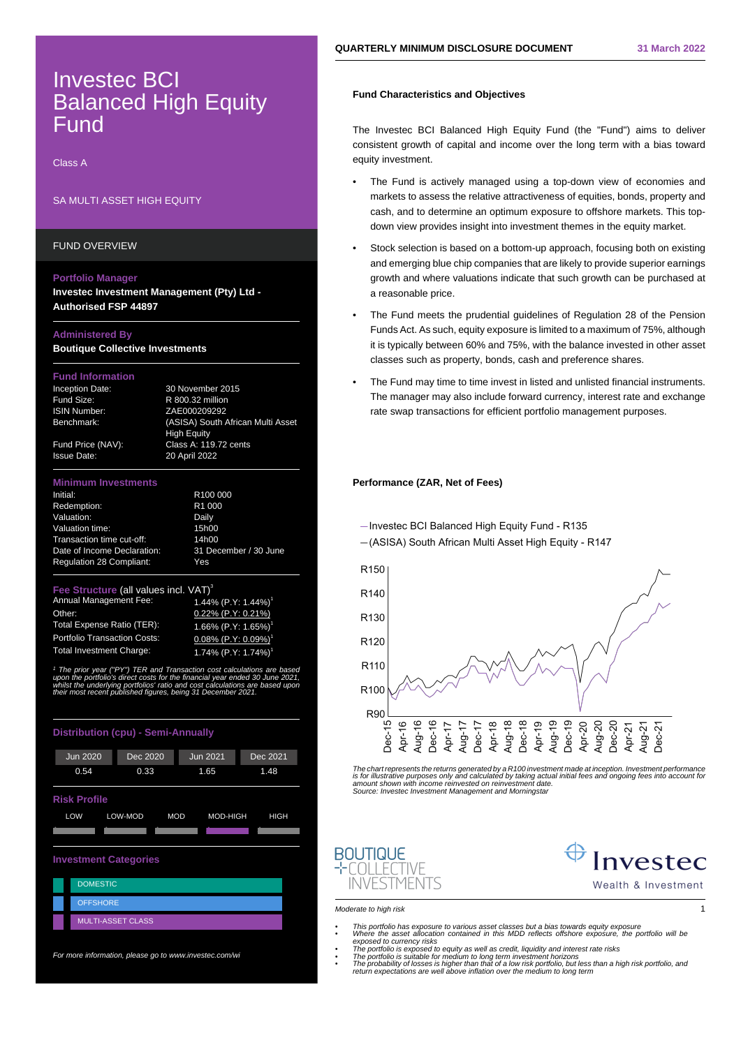# Investec BCI Balanced High Equity Fund

Class A

# SA MULTI ASSET HIGH EQUITY

FUND OVERVIEW

### **Portfolio Manager**

**Investec Investment Management (Pty) Ltd - Authorised FSP 44897**

# **Administered By**

**Boutique Collective Investments**

## **Fund Information**

Inception Date: 30 November 2015

Fund Size: R 800.32 million ISIN Number: ZAE000209292 Benchmark: (ASISA) South African Multi Asset High Equity Fund Price (NAV): Class A: 119.72 cents Issue Date: 20 April 2022

### **Minimum Investments**

| Initial:                        | R <sub>100</sub> 000  |
|---------------------------------|-----------------------|
| Redemption:                     | R <sub>1</sub> 000    |
| Valuation:                      | Daily                 |
| Valuation time:                 | 15h00                 |
| Transaction time cut-off:       | 14h00                 |
| Date of Income Declaration:     | 31 December / 30 June |
| <b>Requlation 28 Compliant:</b> | Yes                   |

### **Structure (all values incl. VAT)**

| Annual Management Fee:              | 1.44% $(P.Y: 1.44%)$ <sup>1</sup>      |
|-------------------------------------|----------------------------------------|
| Other:                              | $0.22\%$ (P.Y: 0.21%)                  |
| <b>Total Expense Ratio (TER):</b>   | 1.66% $(P.Y: 1.65%)$ <sup>1</sup>      |
| <b>Portfolio Transaction Costs:</b> | $0.08\%$ (P.Y: $0.09\%$ ) <sup>1</sup> |
| Total Investment Charge:            | 1.74% $(P.Y: 1.74%)$ <sup>1</sup>      |

1 <sup>1</sup> The prior year ("PY") TER and Transaction cost calculations are based<br>upon the portfolio's direct costs for the financial year ended 30 June 2021,<br>whilst the underlying portfolios' ratio and cost calculations are based rlying portfolios' ratio and cost calculations are based<br>nt published figures, being 31 December 2021.

| <b>Distribution (cpu) - Semi-Annually</b> |                                                  |                 |          |  |  |
|-------------------------------------------|--------------------------------------------------|-----------------|----------|--|--|
| <b>Jun 2020</b>                           | Dec 2020                                         | <b>Jun 2021</b> | Dec 2021 |  |  |
| 0.54                                      | 0.33                                             | 1.65            | 1.48     |  |  |
| <b>Risk Profile</b>                       |                                                  |                 |          |  |  |
| LOW                                       | LOW-MOD<br><b>MOD</b><br>MOD-HIGH<br><b>HIGH</b> |                 |          |  |  |
|                                           |                                                  |                 |          |  |  |
| <b>Investment Categories</b>              |                                                  |                 |          |  |  |
| <b>DOMESTIC</b>                           |                                                  |                 |          |  |  |
| <b>OFFSHORE</b>                           |                                                  |                 |          |  |  |
|                                           | <b>MULTI-ASSET CLASS</b>                         |                 |          |  |  |

For more information, please go to www.investec.com/wi

# **Fund Characteristics and Objectives**

The Investec BCI Balanced High Equity Fund (the "Fund") aims to deliver consistent growth of capital and income over the long term with a bias toward equity investment.

- The Fund is actively managed using a top-down view of economies and markets to assess the relative attractiveness of equities, bonds, property and cash, and to determine an optimum exposure to offshore markets. This topdown view provides insight into investment themes in the equity market.
- Stock selection is based on a bottom-up approach, focusing both on existing and emerging blue chip companies that are likely to provide superior earnings growth and where valuations indicate that such growth can be purchased at a reasonable price.
- The Fund meets the prudential guidelines of Regulation 28 of the Pension Funds Act. As such, equity exposure is limited to a maximum of 75%, although it is typically between 60% and 75%, with the balance invested in other asset classes such as property, bonds, cash and preference shares.
- The Fund may time to time invest in listed and unlisted financial instruments. The manager may also include forward currency, interest rate and exchange rate swap transactions for efficient portfolio management purposes.

# **Performance (ZAR, Net of Fees)**

- Investec BCI Balanced High Equity Fund - R135



The chart represents the returns generated by a R100 investment made at inception. Investment performance<br>is for illustrative purposes only and calculated by taking actual initial fees and ongoing fees into account fo<br>amou Source: Investec Investment Management and Morningstar



Moderate to high risk 1

**BOUTIQUE** 

 $-T$  $\cap$  $||$  Frive **INVESTMENTS** 

- This portfolio has exposure to various asset classes but a bias towards equity exposure<br>Where the asset allocation contained in this MDD reflects offshore exposure, the portfolio will be<br>exposed to currency risks<br>\* The p
	-
	-
- 
-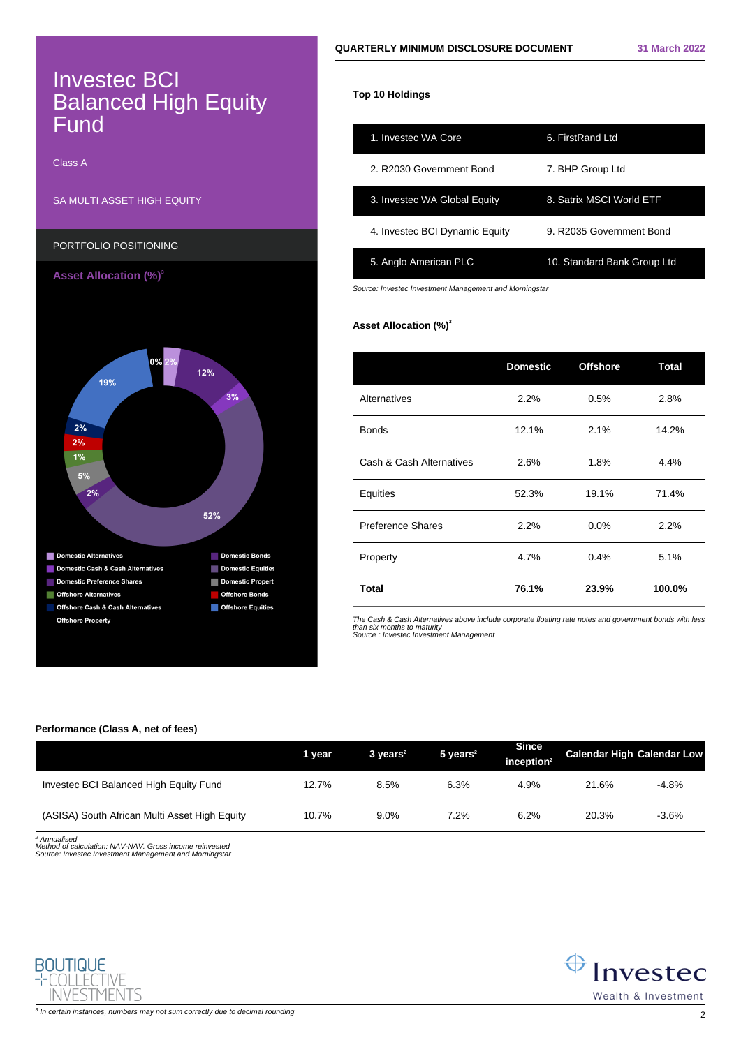# Investec BCI Balanced High Equity Fund

Class A

# SA MULTI ASSET HIGH EQUITY



# **Top 10 Holdings**

| 1. Investec WA Core            | 6. FirstRand Ltd            |
|--------------------------------|-----------------------------|
| 2. R2030 Government Bond       | 7. BHP Group Ltd            |
| 3. Investec WA Global Equity   | 8. Satrix MSCI World ETF    |
| 4. Investec BCI Dynamic Equity | 9. R2035 Government Bond    |
| 5. Anglo American PLC          | 10. Standard Bank Group Ltd |

Source: Investec Investment Management and Morningstar

# **Asset Allocation (%)<sup>3</sup>**

|                          | <b>Domestic</b><br><b>Offshore</b> |       | Total  |  |
|--------------------------|------------------------------------|-------|--------|--|
| Alternatives             | 2.2%                               | 0.5%  | 2.8%   |  |
| <b>Bonds</b>             | 12.1%<br>2.1%                      |       | 14.2%  |  |
| Cash & Cash Alternatives | 2.6%<br>1.8%                       |       | 4.4%   |  |
| Equities                 | 52.3%                              | 19.1% |        |  |
| Preference Shares        | 2.2%<br>0.0%                       |       | 2.2%   |  |
| Property                 | 4.7%                               | 0.4%  | 5.1%   |  |
| <b>Total</b>             | 76.1%                              | 23.9% | 100.0% |  |

The Cash & Cash Alternatives above include corporate floating rate notes and government bonds with less<br>than six months to maturity<br>Source : Investec Investment Management

# **Performance (Class A, net of fees)**

|                                               | 1 year | $3 \text{ years}^2$ | $5$ years <sup>2</sup> | <b>Since</b><br>inception $2$ | <b>Calendar High Calendar Low</b> |         |
|-----------------------------------------------|--------|---------------------|------------------------|-------------------------------|-----------------------------------|---------|
| Investec BCI Balanced High Equity Fund        | 12.7%  | 8.5%                | 6.3%                   | 4.9%                          | 21.6%                             | -4.8%   |
| (ASISA) South African Multi Asset High Equity | 10.7%  | $9.0\%$             | 7.2%                   | 6.2%                          | 20.3%                             | $-3.6%$ |

<sup>2</sup> Annualised

Method of calculation: NAV-NAV. Gross income reinvested Source: Investec Investment Management and Morningstar